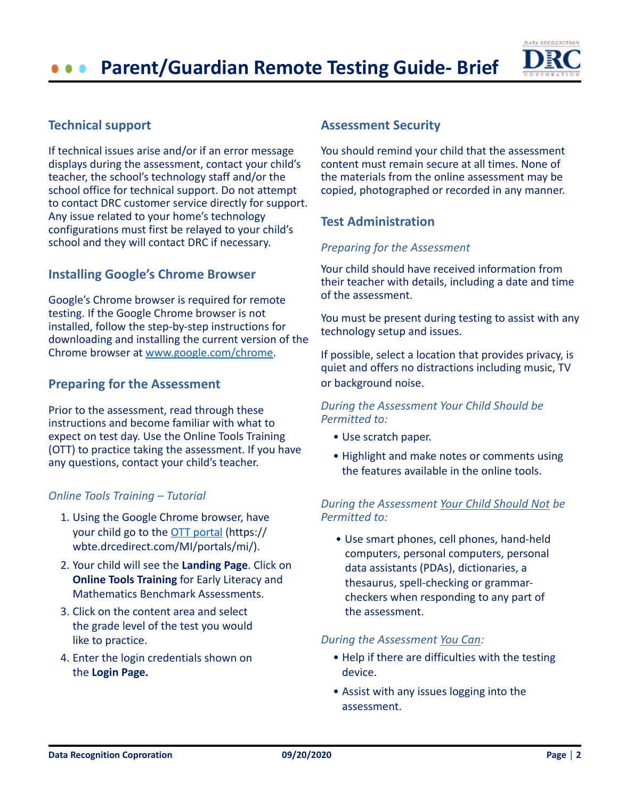# **Parent/Guardian Remote Testing Guide- Brief**



# **Technical support**

If technical issues arise and/or if an error message displays during the assessment, contact your child's teacher, the school's technology staff and/or the school office for technical support. Do not attempt to contact DRC customer service directly for support. Any issue related to your home's technology configurations must first be relayed to your child's school and they will contact DRC if necessary.

# **Installing Google's Chrome Browser**

Google's Chrome browser is required for remote testing. If the Google Chrome browser is not installed, follow the step-by-step instructions for downloading and installing the current version of the Chrome browser at [www.google.com/chrome.](https://www.google.com/chrome/)

# **Preparing for the Assessment**

Prior to the assessment, read through these instructions and become familiar with what to expect on test day. Use the Online Tools Training (OTT) to practice taking the assessment. If you have any questions, contact your child's teacher.

#### *Online Tools Training – Tutorial*

- 1. Using the Google Chrome browser, have your child go to the [OTT portal](https://wbte.drcedirect.com/MI/portals/mi/) (https:// wbte.drcedirect.com/MI/portals/mi/).
- 2. Your child will see the **Landing Page**. Click on **Online Tools Training** for Early Literacy and Mathematics Benchmark Assessments.
- 3. Click on the content area and select the grade level of the test you would like to practice.
- 4. Enter the login credentials shown on the **Login Page.**

#### **Assessment Security**

You should remind your child that the assessment content must remain secure at all times. None of the materials from the online assessment may be copied, photographed or recorded in any manner.

# **Test Administration**

#### *Preparing for the Assessment*

Your child should have received information from their teacher with details, including a date and time of the assessment.

You must be present during testing to assist with any technology setup and issues.

If possible, select a location that provides privacy, is quiet and offers no distractions including music, TV or background noise.

#### *During the Assessment Your Child Should be Permitted to:*

- Use scratch paper.
- Highlight and make notes or comments using the features available in the online tools.

#### *During the Assessment Your Child Should Not be Permitted to:*

• Use smart phones, cell phones, hand-held computers, personal computers, personal data assistants (PDAs), dictionaries, a thesaurus, spell-checking or grammarcheckers when responding to any part of the assessment.

#### *During the Assessment You Can:*

- Help if there are difficulties with the testing device.
- Assist with any issues logging into the assessment.